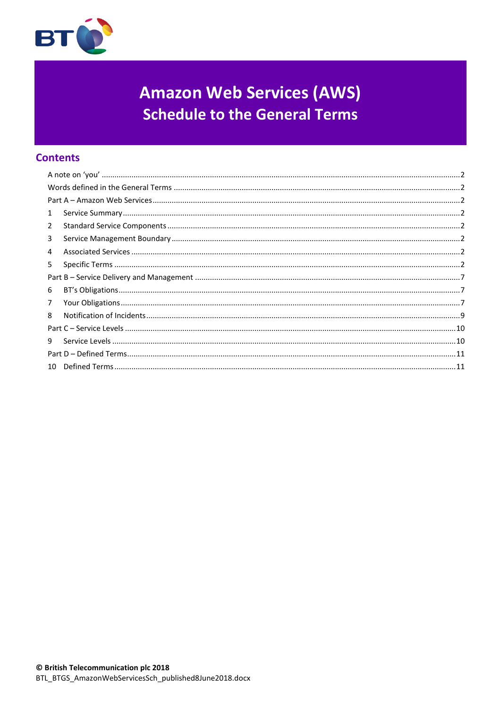

# **Amazon Web Services (AWS) Schedule to the General Terms**

# **Contents**

| 1              |  |  |
|----------------|--|--|
| $\overline{2}$ |  |  |
| 3              |  |  |
| 4              |  |  |
| 5.             |  |  |
|                |  |  |
| 6              |  |  |
| $\overline{7}$ |  |  |
| 8              |  |  |
|                |  |  |
| 9              |  |  |
|                |  |  |
|                |  |  |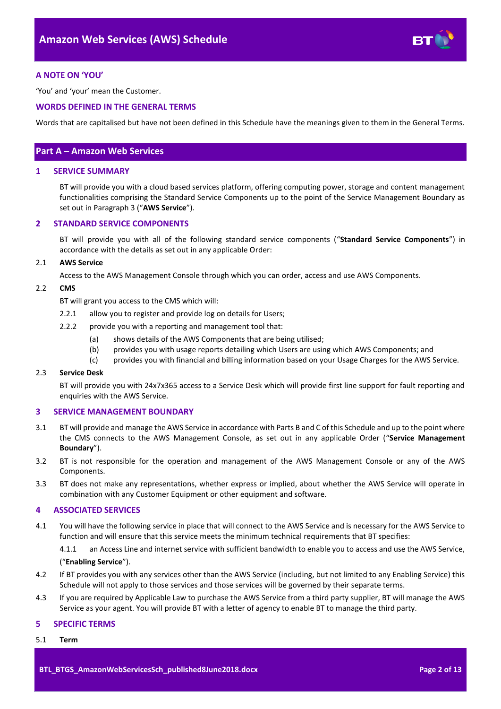

# <span id="page-1-0"></span>**A NOTE ON 'YOU'**

'You' and 'your' mean the Customer.

# <span id="page-1-1"></span>**WORDS DEFINED IN THE GENERAL TERMS**

Words that are capitalised but have not been defined in this Schedule have the meanings given to them in the General Terms.

# <span id="page-1-2"></span>**Part A – Amazon Web Services**

## <span id="page-1-3"></span>**1 SERVICE SUMMARY**

BT will provide you with a cloud based services platform, offering computing power, storage and content management functionalities comprising the Standard Service Components up to the point of the Service Management Boundary as set out in Paragrap[h 3](#page-1-5) ("**AWS Service**").

# <span id="page-1-4"></span>**2 STANDARD SERVICE COMPONENTS**

BT will provide you with all of the following standard service components ("**Standard Service Components**") in accordance with the details as set out in any applicable Order:

#### 2.1 **AWS Service**

Access to the AWS Management Console through which you can order, access and use AWS Components.

#### <span id="page-1-8"></span>2.2 **CMS**

BT will grant you access to the CMS which will:

- 2.2.1 allow you to register and provide log on details for Users;
- 2.2.2 provide you with a reporting and management tool that:
	- (a) shows details of the AWS Components that are being utilised;
	- (b) provides you with usage reports detailing which Users are using which AWS Components; and
	- (c) provides you with financial and billing information based on your Usage Charges for the AWS Service.

#### 2.3 **Service Desk**

BT will provide you with 24x7x365 access to a Service Desk which will provide first line support for fault reporting and enquiries with the AWS Service.

# <span id="page-1-5"></span>**3 SERVICE MANAGEMENT BOUNDARY**

- <span id="page-1-10"></span>3.1 BT will provide and manage the AWS Service in accordance with Parts B and C of this Schedule and up to the point where the CMS connects to the AWS Management Console, as set out in any applicable Order ("**Service Management Boundary**").
- 3.2 BT is not responsible for the operation and management of the AWS Management Console or any of the AWS Components.
- 3.3 BT does not make any representations, whether express or implied, about whether the AWS Service will operate in combination with any Customer Equipment or other equipment and software.

# <span id="page-1-6"></span>**4 ASSOCIATED SERVICES**

<span id="page-1-9"></span>4.1 You will have the following service in place that will connect to the AWS Service and is necessary for the AWS Service to function and will ensure that this service meets the minimum technical requirements that BT specifies:

4.1.1 an Access Line and internet service with sufficient bandwidth to enable you to access and use the AWS Service, ("**Enabling Service**").

- 4.2 If BT provides you with any services other than the AWS Service (including, but not limited to any Enabling Service) this Schedule will not apply to those services and those services will be governed by their separate terms.
- 4.3 If you are required by Applicable Law to purchase the AWS Service from a third party supplier, BT will manage the AWS Service as your agent. You will provide BT with a letter of agency to enable BT to manage the third party.

#### <span id="page-1-7"></span>**5 SPECIFIC TERMS**

5.1 **Term**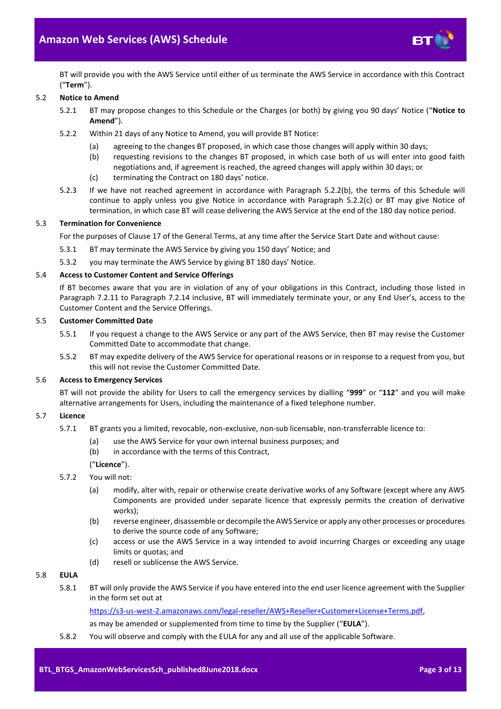

BT will provide you with the AWS Service until either of us terminate the AWS Service in accordance with this Contract ("**Term**").

# <span id="page-2-4"></span>5.2 **Notice to Amend**

- 5.2.1 BT may propose changes to this Schedule or the Charges (or both) by giving you 90 days' Notice ("**Notice to Amend**").
- <span id="page-2-0"></span>5.2.2 Within 21 days of any Notice to Amend, you will provide BT Notice:
	- (a) agreeing to the changes BT proposed, in which case those changes will apply within 30 days;
	- (b) requesting revisions to the changes BT proposed, in which case both of us will enter into good faith negotiations and, if agreement is reached, the agreed changes will apply within 30 days; or
	- (c) terminating the Contract on 180 days' notice.
- <span id="page-2-1"></span>5.2.3 If we have not reached agreement in accordance with Paragraph [5.2.2\(b\),](#page-2-0) the terms of this Schedule will continue to apply unless you give Notice in accordance with Paragraph [5.2.2\(c\)](#page-2-1) or BT may give Notice of termination, in which case BT will cease delivering the AWS Service at the end of the 180 day notice period.

# 5.3 **Termination for Convenience**

For the purposes of Clause 17 of the General Terms, at any time after the Service Start Date and without cause:

- 5.3.1 BT may terminate the AWS Service by giving you 150 days' Notice; and
- 5.3.2 you may terminate the AWS Service by giving BT 180 days' Notice.

## 5.4 **Access to Customer Content and Service Offerings**

If BT becomes aware that you are in violation of any of your obligations in this Contract, including those listed in Paragraph [7.2.11](#page-7-0) to Paragraph [7.2.14](#page-7-1) inclusive, BT will immediately terminate your, or any End User's, access to the Customer Content and the Service Offerings.

#### 5.5 **Customer Committed Date**

- 5.5.1 If you request a change to the AWS Service or any part of the AWS Service, then BT may revise the Customer Committed Date to accommodate that change.
- 5.5.2 BT may expedite delivery of the AWS Service for operational reasons or in response to a request from you, but this will not revise the Customer Committed Date.

# 5.6 **Access to Emergency Services**

BT will not provide the ability for Users to call the emergency services by dialling "**999**" or "**112**" and you will make alternative arrangements for Users, including the maintenance of a fixed telephone number.

# <span id="page-2-3"></span>5.7 **Licence**

- 5.7.1 BT grants you a limited, revocable, non-exclusive, non-sub licensable, non-transferrable licence to:
	- (a) use the AWS Service for your own internal business purposes; and
	- (b) in accordance with the terms of this Contract,

("**Licence**").

- 5.7.2 You will not:
	- (a) modify, alter with, repair or otherwise create derivative works of any Software (except where any AWS Components are provided under separate licence that expressly permits the creation of derivative works);
	- (b) reverse engineer, disassemble or decompile the AWS Service or apply any other processes or procedures to derive the source code of any Software;
	- (c) access or use the AWS Service in a way intended to avoid incurring Charges or exceeding any usage limits or quotas; and
	- (d) resell or sublicense the AWS Service.

# <span id="page-2-2"></span>5.8 **EULA**

5.8.1 BT will only provide the AWS Service if you have entered into the end user licence agreement with the Supplier in the form set out at

[https://s3-us-west-2.amazonaws.com/legal-reseller/AWS+Reseller+Customer+License+Terms.pdf,](https://s3-us-west-2.amazonaws.com/legal-reseller/AWS+Reseller+Customer+License+Terms.pdf)

as may be amended or supplemented from time to time by the Supplier ("**EULA**").

5.8.2 You will observe and comply with the EULA for any and all use of the applicable Software.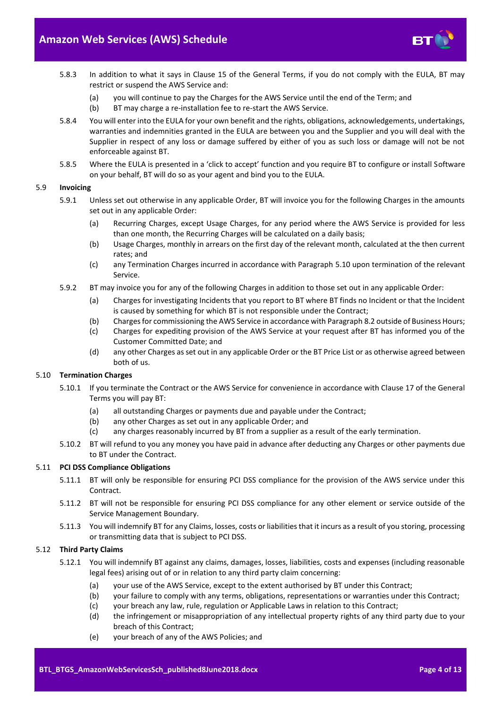

- 5.8.3 In addition to what it says in Clause 15 of the General Terms, if you do not comply with the EULA, BT may restrict or suspend the AWS Service and:
	- (a) you will continue to pay the Charges for the AWS Service until the end of the Term; and
	- (b) BT may charge a re-installation fee to re-start the AWS Service.
- 5.8.4 You will enter into the EULA for your own benefit and the rights, obligations, acknowledgements, undertakings, warranties and indemnities granted in the EULA are between you and the Supplier and you will deal with the Supplier in respect of any loss or damage suffered by either of you as such loss or damage will not be not enforceable against BT.
- 5.8.5 Where the EULA is presented in a 'click to accept' function and you require BT to configure or install Software on your behalf, BT will do so as your agent and bind you to the EULA.

# 5.9 **Invoicing**

- 5.9.1 Unless set out otherwise in any applicable Order, BT will invoice you for the following Charges in the amounts set out in any applicable Order:
	- (a) Recurring Charges, except Usage Charges, for any period where the AWS Service is provided for less than one month, the Recurring Charges will be calculated on a daily basis;
	- (b) Usage Charges, monthly in arrears on the first day of the relevant month, calculated at the then current rates; and
	- (c) any Termination Charges incurred in accordance with Paragraph [5.10](#page-3-0) upon termination of the relevant Service.
- 5.9.2 BT may invoice you for any of the following Charges in addition to those set out in any applicable Order:
	- (a) Charges for investigating Incidents that you report to BT where BT finds no Incident or that the Incident is caused by something for which BT is not responsible under the Contract;
	- (b) Charges for commissioning the AWS Service in accordance with Paragraph [8.2](#page-8-1) outside of Business Hours;
	- (c) Charges for expediting provision of the AWS Service at your request after BT has informed you of the Customer Committed Date; and
	- (d) any other Charges as set out in any applicable Order or the BT Price List or as otherwise agreed between both of us.

# <span id="page-3-0"></span>5.10 **Termination Charges**

- 5.10.1 If you terminate the Contract or the AWS Service for convenience in accordance with Clause 17 of the General Terms you will pay BT:
	- (a) all outstanding Charges or payments due and payable under the Contract;
	- (b) any other Charges as set out in any applicable Order; and
	- (c) any charges reasonably incurred by BT from a supplier as a result of the early termination.
- 5.10.2 BT will refund to you any money you have paid in advance after deducting any Charges or other payments due to BT under the Contract.

#### 5.11 **PCI DSS Compliance Obligations**

- 5.11.1 BT will only be responsible for ensuring PCI DSS compliance for the provision of the AWS service under this Contract.
- 5.11.2 BT will not be responsible for ensuring PCI DSS compliance for any other element or service outside of the Service Management Boundary.
- 5.11.3 You will indemnify BT for any Claims, losses, costs or liabilities that it incurs as a result of you storing, processing or transmitting data that is subject to PCI DSS.

#### <span id="page-3-1"></span>5.12 **Third Party Claims**

- 5.12.1 You will indemnify BT against any claims, damages, losses, liabilities, costs and expenses (including reasonable legal fees) arising out of or in relation to any third party claim concerning:
	- (a) your use of the AWS Service, except to the extent authorised by BT under this Contract;
	- (b) your failure to comply with any terms, obligations, representations or warranties under this Contract;
	- (c) your breach any law, rule, regulation or Applicable Laws in relation to this Contract;
	- (d) the infringement or misappropriation of any intellectual property rights of any third party due to your breach of this Contract;
	- (e) your breach of any of the AWS Policies; and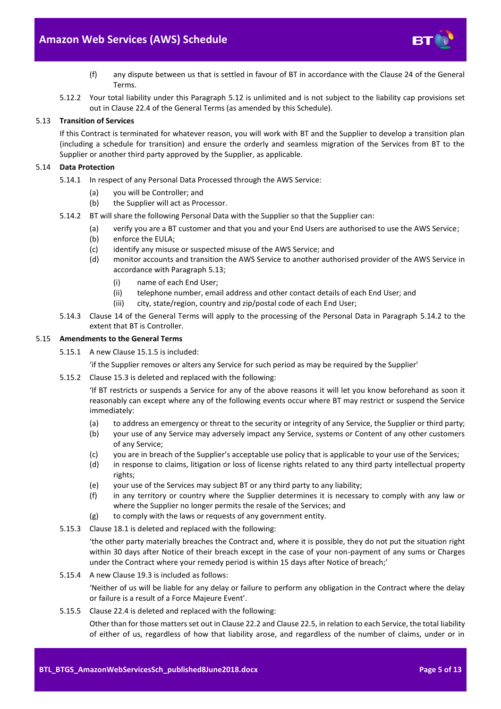

- (f) any dispute between us that is settled in favour of BT in accordance with the Clause 24 of the General Terms.
- 5.12.2 Your total liability under this Paragraph [5.12](#page-3-1) is unlimited and is not subject to the liability cap provisions set out in Clause 22.4 of the General Terms (as amended by this Schedule).

# <span id="page-4-0"></span>5.13 **Transition of Services**

If this Contract is terminated for whatever reason, you will work with BT and the Supplier to develop a transition plan (including a schedule for transition) and ensure the orderly and seamless migration of the Services from BT to the Supplier or another third party approved by the Supplier, as applicable.

# 5.14 **Data Protection**

- 5.14.1 In respect of any Personal Data Processed through the AWS Service:
	- (a) you will be Controller; and
	- (b) the Supplier will act as Processor.
- <span id="page-4-1"></span>5.14.2 BT will share the following Personal Data with the Supplier so that the Supplier can:
	- (a) verify you are a BT customer and that you and your End Users are authorised to use the AWS Service;
	- (b) enforce the EULA;
	- (c) identify any misuse or suspected misuse of the AWS Service; and
	- (d) monitor accounts and transition the AWS Service to another authorised provider of the AWS Service in accordance with Paragraph [5.13;](#page-4-0)
		- (i) name of each End User;
		- (ii) telephone number, email address and other contact details of each End User; and
		- (iii) city, state/region, country and zip/postal code of each End User;
- 5.14.3 Clause 14 of the General Terms will apply to the processing of the Personal Data in Paragraph [5.14.2](#page-4-1) to the extent that BT is Controller.

# 5.15 **Amendments to the General Terms**

- 5.15.1 A new Clause 15.1.5 is included:
	- 'if the Supplier removes or alters any Service for such period as may be required by the Supplier'
- 5.15.2 Clause 15.3 is deleted and replaced with the following:

'If BT restricts or suspends a Service for any of the above reasons it will let you know beforehand as soon it reasonably can except where any of the following events occur where BT may restrict or suspend the Service immediately:

- (a) to address an emergency or threat to the security or integrity of any Service, the Supplier or third party;
- (b) your use of any Service may adversely impact any Service, systems or Content of any other customers of any Service;
- (c) you are in breach of the Supplier's acceptable use policy that is applicable to your use of the Services;
- (d) in response to claims, litigation or loss of license rights related to any third party intellectual property rights;
- (e) your use of the Services may subject BT or any third party to any liability;
- (f) in any territory or country where the Supplier determines it is necessary to comply with any law or where the Supplier no longer permits the resale of the Services; and
- (g) to comply with the laws or requests of any government entity.
- 5.15.3 Clause 18.1 is deleted and replaced with the following:

'the other party materially breaches the Contract and, where it is possible, they do not put the situation right within 30 days after Notice of their breach except in the case of your non-payment of any sums or Charges under the Contract where your remedy period is within 15 days after Notice of breach;'

5.15.4 A new Clause 19.3 is included as follows:

'Neither of us will be liable for any delay or failure to perform any obligation in the Contract where the delay or failure is a result of a Force Majeure Event'.

5.15.5 Clause 22.4 is deleted and replaced with the following:

Other than for those matters set out in Clause 22.2 and Clause 22.5, in relation to each Service, the total liability of either of us, regardless of how that liability arose, and regardless of the number of claims, under or in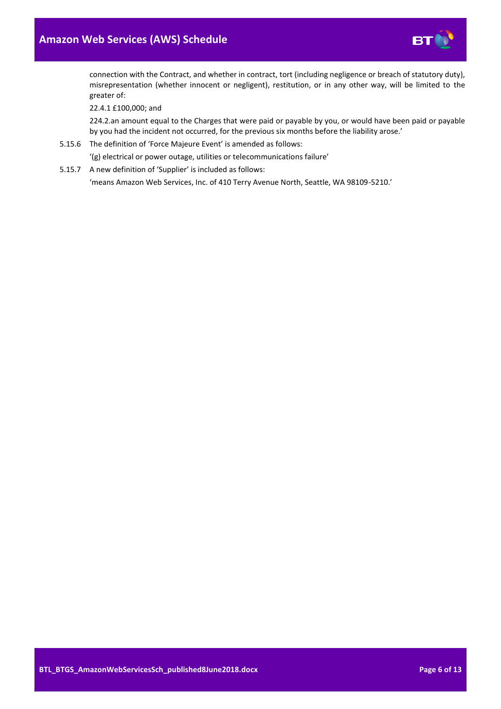

connection with the Contract, and whether in contract, tort (including negligence or breach of statutory duty), misrepresentation (whether innocent or negligent), restitution, or in any other way, will be limited to the greater of:

22.4.1 £100,000; and

224.2.an amount equal to the Charges that were paid or payable by you, or would have been paid or payable by you had the incident not occurred, for the previous six months before the liability arose.'

5.15.6 The definition of 'Force Majeure Event' is amended as follows:

'(g) electrical or power outage, utilities or telecommunications failure'

5.15.7 A new definition of 'Supplier' is included as follows: 'means Amazon Web Services, Inc. of 410 Terry Avenue North, Seattle, WA 98109-5210.'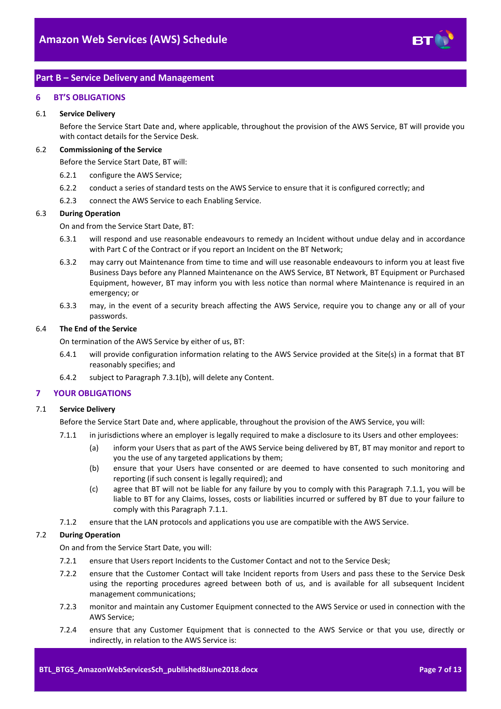

# <span id="page-6-0"></span>**Part B – Service Delivery and Management**

## <span id="page-6-1"></span>**6 BT'S OBLIGATIONS**

#### 6.1 **Service Delivery**

Before the Service Start Date and, where applicable, throughout the provision of the AWS Service, BT will provide you with contact details for the Service Desk.

#### 6.2 **Commissioning of the Service**

Before the Service Start Date, BT will:

- 6.2.1 configure the AWS Service;
- 6.2.2 conduct a series of standard tests on the AWS Service to ensure that it is configured correctly; and
- 6.2.3 connect the AWS Service to each Enabling Service.

#### 6.3 **During Operation**

On and from the Service Start Date, BT:

- 6.3.1 will respond and use reasonable endeavours to remedy an Incident without undue delay and in accordance with Part C of the Contract or if you report an Incident on the BT Network;
- 6.3.2 may carry out Maintenance from time to time and will use reasonable endeavours to inform you at least five Business Days before any Planned Maintenance on the AWS Service, BT Network, BT Equipment or Purchased Equipment, however, BT may inform you with less notice than normal where Maintenance is required in an emergency; or
- 6.3.3 may, in the event of a security breach affecting the AWS Service, require you to change any or all of your passwords.

# 6.4 **The End of the Service**

On termination of the AWS Service by either of us, BT:

- 6.4.1 will provide configuration information relating to the AWS Service provided at the Site(s) in a format that BT reasonably specifies; and
- 6.4.2 subject to Paragraph [7.3.1\(b\),](#page-8-2) will delete any Content.

# <span id="page-6-2"></span>**7 YOUR OBLIGATIONS**

# <span id="page-6-3"></span>7.1 **Service Delivery**

Before the Service Start Date and, where applicable, throughout the provision of the AWS Service, you will:

- 7.1.1 in jurisdictions where an employer is legally required to make a disclosure to its Users and other employees:
	- (a) inform your Users that as part of the AWS Service being delivered by BT, BT may monitor and report to you the use of any targeted applications by them;
	- (b) ensure that your Users have consented or are deemed to have consented to such monitoring and reporting (if such consent is legally required); and
	- (c) agree that BT will not be liable for any failure by you to comply with this Paragraph [7.1.1,](#page-6-3) you will be liable to BT for any Claims, losses, costs or liabilities incurred or suffered by BT due to your failure to comply with this Paragraph [7.1.1.](#page-6-3)
- 7.1.2 ensure that the LAN protocols and applications you use are compatible with the AWS Service.

# 7.2 **During Operation**

On and from the Service Start Date, you will:

- 7.2.1 ensure that Users report Incidents to the Customer Contact and not to the Service Desk;
- 7.2.2 ensure that the Customer Contact will take Incident reports from Users and pass these to the Service Desk using the reporting procedures agreed between both of us, and is available for all subsequent Incident management communications;
- 7.2.3 monitor and maintain any Customer Equipment connected to the AWS Service or used in connection with the AWS Service;
- 7.2.4 ensure that any Customer Equipment that is connected to the AWS Service or that you use, directly or indirectly, in relation to the AWS Service is: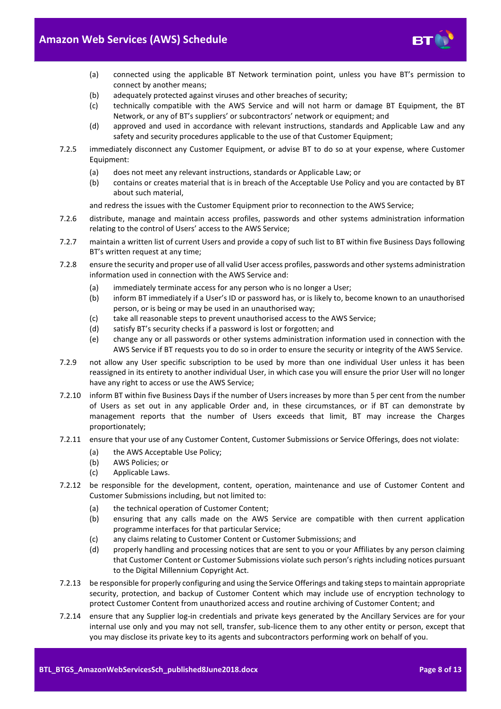

- (a) connected using the applicable BT Network termination point, unless you have BT's permission to connect by another means;
- (b) adequately protected against viruses and other breaches of security;
- (c) technically compatible with the AWS Service and will not harm or damage BT Equipment, the BT Network, or any of BT's suppliers' or subcontractors' network or equipment; and
- (d) approved and used in accordance with relevant instructions, standards and Applicable Law and any safety and security procedures applicable to the use of that Customer Equipment;
- 7.2.5 immediately disconnect any Customer Equipment, or advise BT to do so at your expense, where Customer Equipment:
	- (a) does not meet any relevant instructions, standards or Applicable Law; or
	- (b) contains or creates material that is in breach of the Acceptable Use Policy and you are contacted by BT about such material,

and redress the issues with the Customer Equipment prior to reconnection to the AWS Service;

- 7.2.6 distribute, manage and maintain access profiles, passwords and other systems administration information relating to the control of Users' access to the AWS Service;
- 7.2.7 maintain a written list of current Users and provide a copy of such list to BT within five Business Days following BT's written request at any time;
- 7.2.8 ensure the security and proper use of all valid User access profiles, passwords and other systems administration information used in connection with the AWS Service and:
	- (a) immediately terminate access for any person who is no longer a User;
	- (b) inform BT immediately if a User's ID or password has, or is likely to, become known to an unauthorised person, or is being or may be used in an unauthorised way;
	- (c) take all reasonable steps to prevent unauthorised access to the AWS Service;
	- (d) satisfy BT's security checks if a password is lost or forgotten; and
	- (e) change any or all passwords or other systems administration information used in connection with the AWS Service if BT requests you to do so in order to ensure the security or integrity of the AWS Service.
- 7.2.9 not allow any User specific subscription to be used by more than one individual User unless it has been reassigned in its entirety to another individual User, in which case you will ensure the prior User will no longer have any right to access or use the AWS Service;
- 7.2.10 inform BT within five Business Days if the number of Users increases by more than 5 per cent from the number of Users as set out in any applicable Order and, in these circumstances, or if BT can demonstrate by management reports that the number of Users exceeds that limit, BT may increase the Charges proportionately;
- <span id="page-7-0"></span>7.2.11 ensure that your use of any Customer Content, Customer Submissions or Service Offerings, does not violate:
	- (a) the AWS Acceptable Use Policy;
	- (b) AWS Policies; or
	- (c) Applicable Laws.
- 7.2.12 be responsible for the development, content, operation, maintenance and use of Customer Content and Customer Submissions including, but not limited to:
	- (a) the technical operation of Customer Content;
	- (b) ensuring that any calls made on the AWS Service are compatible with then current application programme interfaces for that particular Service;
	- (c) any claims relating to Customer Content or Customer Submissions; and
	- (d) properly handling and processing notices that are sent to you or your Affiliates by any person claiming that Customer Content or Customer Submissions violate such person's rights including notices pursuant to the Digital Millennium Copyright Act.
- 7.2.13 be responsible for properly configuring and using the Service Offerings and taking steps to maintain appropriate security, protection, and backup of Customer Content which may include use of encryption technology to protect Customer Content from unauthorized access and routine archiving of Customer Content; and
- <span id="page-7-1"></span>7.2.14 ensure that any Supplier log-in credentials and private keys generated by the Ancillary Services are for your internal use only and you may not sell, transfer, sub-licence them to any other entity or person, except that you may disclose its private key to its agents and subcontractors performing work on behalf of you.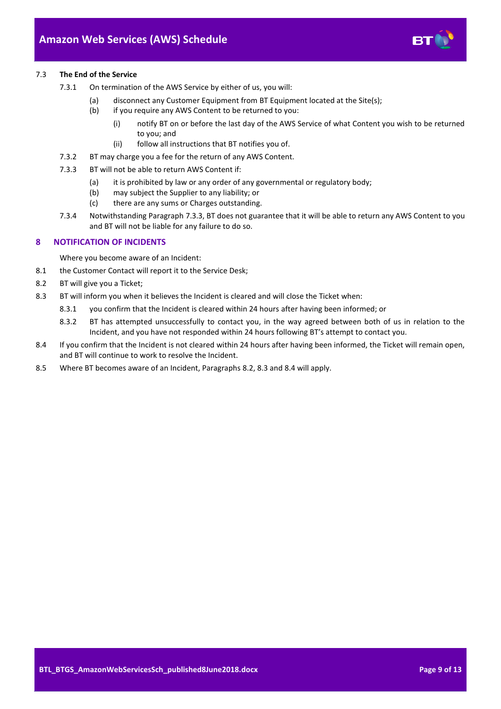

- <span id="page-8-2"></span>7.3.1 On termination of the AWS Service by either of us, you will:
	- (a) disconnect any Customer Equipment from BT Equipment located at the Site(s);
	- (b) if you require any AWS Content to be returned to you:
		- (i) notify BT on or before the last day of the AWS Service of what Content you wish to be returned to you; and
		- (ii) follow all instructions that BT notifies you of.
- 7.3.2 BT may charge you a fee for the return of any AWS Content.
- <span id="page-8-3"></span>7.3.3 BT will not be able to return AWS Content if:
	- (a) it is prohibited by law or any order of any governmental or regulatory body;
	- (b) may subject the Supplier to any liability; or
	- (c) there are any sums or Charges outstanding.
- 7.3.4 Notwithstanding Paragrap[h 7.3.3,](#page-8-3) BT does not guarantee that it will be able to return any AWS Content to you and BT will not be liable for any failure to do so.

## <span id="page-8-0"></span>**8 NOTIFICATION OF INCIDENTS**

Where you become aware of an Incident:

- 8.1 the Customer Contact will report it to the Service Desk;
- <span id="page-8-1"></span>8.2 BT will give you a Ticket;
- <span id="page-8-4"></span>8.3 BT will inform you when it believes the Incident is cleared and will close the Ticket when:
	- 8.3.1 you confirm that the Incident is cleared within 24 hours after having been informed; or
	- 8.3.2 BT has attempted unsuccessfully to contact you, in the way agreed between both of us in relation to the Incident, and you have not responded within 24 hours following BT's attempt to contact you.
- <span id="page-8-5"></span>8.4 If you confirm that the Incident is not cleared within 24 hours after having been informed, the Ticket will remain open, and BT will continue to work to resolve the Incident.
- 8.5 Where BT becomes aware of an Incident, Paragraphs [8.2,](#page-8-1) [8.3](#page-8-4) and [8.4](#page-8-5) will apply.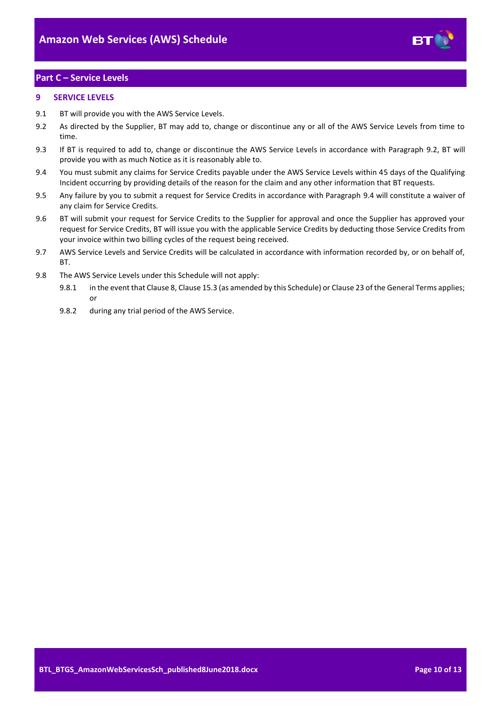

# <span id="page-9-0"></span>**Part C – Service Levels**

# <span id="page-9-1"></span>**9 SERVICE LEVELS**

- 9.1 BT will provide you with the AWS Service Levels.
- <span id="page-9-2"></span>9.2 As directed by the Supplier, BT may add to, change or discontinue any or all of the AWS Service Levels from time to time.
- 9.3 If BT is required to add to, change or discontinue the AWS Service Levels in accordance with Paragraph [9.2,](#page-9-2) BT will provide you with as much Notice as it is reasonably able to.
- <span id="page-9-3"></span>9.4 You must submit any claims for Service Credits payable under the AWS Service Levels within 45 days of the Qualifying Incident occurring by providing details of the reason for the claim and any other information that BT requests.
- 9.5 Any failure by you to submit a request for Service Credits in accordance with Paragraph [9.4](#page-9-3) will constitute a waiver of any claim for Service Credits.
- 9.6 BT will submit your request for Service Credits to the Supplier for approval and once the Supplier has approved your request for Service Credits, BT will issue you with the applicable Service Credits by deducting those Service Credits from your invoice within two billing cycles of the request being received.
- 9.7 AWS Service Levels and Service Credits will be calculated in accordance with information recorded by, or on behalf of, **BT.**
- 9.8 The AWS Service Levels under this Schedule will not apply:
	- 9.8.1 in the event that Clause 8, Clause 15.3 (as amended by this Schedule) or Clause 23 of the General Terms applies; or
	- 9.8.2 during any trial period of the AWS Service.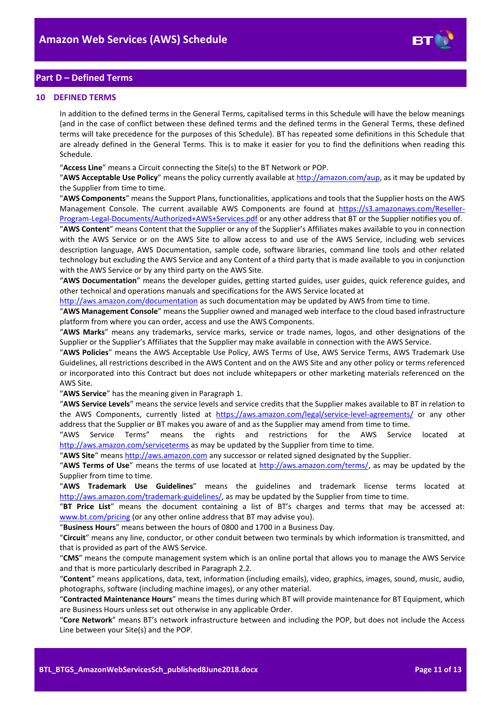

# <span id="page-10-0"></span>**Part D – Defined Terms**

#### <span id="page-10-1"></span>**10 DEFINED TERMS**

In addition to the defined terms in the General Terms, capitalised terms in this Schedule will have the below meanings (and in the case of conflict between these defined terms and the defined terms in the General Terms, these defined terms will take precedence for the purposes of this Schedule). BT has repeated some definitions in this Schedule that are already defined in the General Terms. This is to make it easier for you to find the definitions when reading this Schedule.

"**Access Line**" means a Circuit connecting the Site(s) to the BT Network or POP.

"**AWS Acceptable Use Policy**" means the policy currently available a[t http://amazon.com/aup,](http://amazon.com/aup) as it may be updated by the Supplier from time to time.

"**AWS Components**" means the Support Plans, functionalities, applications and tools that the Supplier hosts on the AWS Management Console. The current available AWS Components are found at [https://s3.amazonaws.com/Reseller-](https://s3.amazonaws.com/Reseller-Program-Legal-Documents/Authorized+AWS+Services.pdf)[Program-Legal-Documents/Authorized+AWS+Services.pdf](https://s3.amazonaws.com/Reseller-Program-Legal-Documents/Authorized+AWS+Services.pdf) or any other address that BT or the Supplier notifies you of.

"**AWS Content**" means Content that the Supplier or any of the Supplier's Affiliates makes available to you in connection with the AWS Service or on the AWS Site to allow access to and use of the AWS Service, including web services description language, AWS Documentation, sample code, software libraries, command line tools and other related technology but excluding the AWS Service and any Content of a third party that is made available to you in conjunction with the AWS Service or by any third party on the AWS Site.

"**AWS Documentation**" means the developer guides, getting started guides, user guides, quick reference guides, and other technical and operations manuals and specifications for the AWS Service located at

<http://aws.amazon.com/documentation> as such documentation may be updated by AWS from time to time.

"**AWS Management Console**" means the Supplier owned and managed web interface to the cloud based infrastructure platform from where you can order, access and use the AWS Components.

"**AWS Marks**" means any trademarks, service marks, service or trade names, logos, and other designations of the Supplier or the Supplier's Affiliates that the Supplier may make available in connection with the AWS Service.

"**AWS Policies**" means the AWS Acceptable Use Policy, AWS Terms of Use, AWS Service Terms, AWS Trademark Use Guidelines, all restrictions described in the AWS Content and on the AWS Site and any other policy or terms referenced or incorporated into this Contract but does not include whitepapers or other marketing materials referenced on the AWS Site.

"**AWS Service**" has the meaning given in Paragrap[h 1.](#page-1-3)

"**AWS Service Levels**" means the service levels and service credits that the Supplier makes available to BT in relation to the AWS Components, currently listed at <https://aws.amazon.com/legal/service-level-agreements/> or any other address that the Supplier or BT makes you aware of and as the Supplier may amend from time to time.

"AWS Service Terms" means the rights and restrictions for the AWS Service located at <http://aws.amazon.com/serviceterms> as may be updated by the Supplier from time to time.

"**AWS Site**" mean[s http://aws.amazon.com](http://aws.amazon.com/) any successor or related signed designated by the Supplier.

"AWS Terms of Use" means the terms of use located at [http://aws.amazon.com/terms/,](http://aws.amazon.com/terms/) as may be updated by the Supplier from time to time.

"**AWS Trademark Use Guidelines**" means the guidelines and trademark license terms located at [http://aws.amazon.com/trademark-guidelines/,](http://aws.amazon.com/trademark-guidelines/) as may be updated by the Supplier from time to time.

"**BT Price List**" means the document containing a list of BT's charges and terms that may be accessed at: [www.bt.com/pricing](http://www.bt.com/pricing) (or any other online address that BT may advise you).

"**Business Hours**" means between the hours of 0800 and 1700 in a Business Day.

"**Circuit**" means any line, conductor, or other conduit between two terminals by which information is transmitted, and that is provided as part of the AWS Service.

"**CMS**" means the compute management system which is an online portal that allows you to manage the AWS Service and that is more particularly described in Paragraph [2.2.](#page-1-8)

"**Content**" means applications, data, text, information (including emails), video, graphics, images, sound, music, audio, photographs, software (including machine images), or any other material.

"**Contracted Maintenance Hours**" means the times during which BT will provide maintenance for BT Equipment, which are Business Hours unless set out otherwise in any applicable Order.

"**Core Network**" means BT's network infrastructure between and including the POP, but does not include the Access Line between your Site(s) and the POP.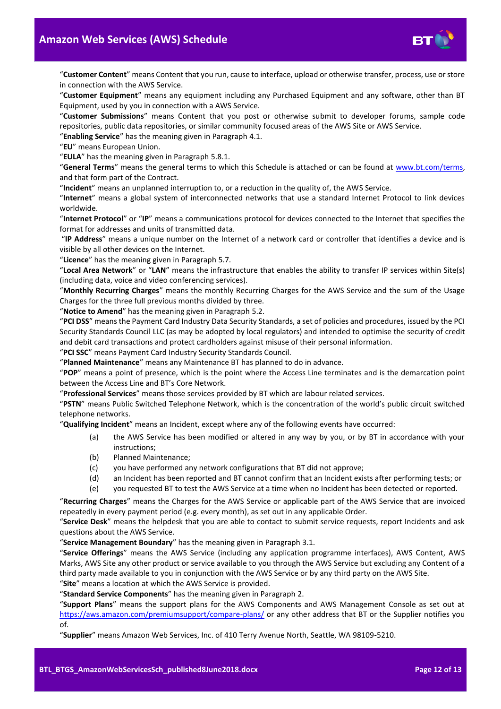

"**Customer Content**" means Content that you run, cause to interface, upload or otherwise transfer, process, use or store in connection with the AWS Service.

"**Customer Equipment**" means any equipment including any Purchased Equipment and any software, other than BT Equipment, used by you in connection with a AWS Service.

"**Customer Submissions**" means Content that you post or otherwise submit to developer forums, sample code repositories, public data repositories, or similar community focused areas of the AWS Site or AWS Service.

"**Enabling Service**" has the meaning given in Paragrap[h 4.1.](#page-1-9)

"**EU**" means European Union.

"**EULA**" has the meaning given in Paragrap[h 5.8.1.](#page-2-2)

"**General Terms**" means the general terms to which this Schedule is attached or can be found at [www.bt.com/terms,](http://www.bt.com/terms) and that form part of the Contract.

"**Incident**" means an unplanned interruption to, or a reduction in the quality of, the AWS Service.

"**Internet**" means a global system of interconnected networks that use a standard Internet Protocol to link devices worldwide.

"**Internet Protocol**" or "**IP**" means a communications protocol for devices connected to the Internet that specifies the format for addresses and units of transmitted data.

"**IP Address**" means a unique number on the Internet of a network card or controller that identifies a device and is visible by all other devices on the Internet.

"**Licence**" has the meaning given in Paragrap[h 5.7.](#page-2-3)

"**Local Area Network**" or "**LAN**" means the infrastructure that enables the ability to transfer IP services within Site(s) (including data, voice and video conferencing services).

"**Monthly Recurring Charges**" means the monthly Recurring Charges for the AWS Service and the sum of the Usage Charges for the three full previous months divided by three.

"**Notice to Amend**" has the meaning given in Paragrap[h 5.2.](#page-2-4)

"**PCI DSS**" means the Payment Card Industry Data Security Standards, a set of policies and procedures, issued by the PCI Security Standards Council LLC (as may be adopted by local regulators) and intended to optimise the security of credit and debit card transactions and protect cardholders against misuse of their personal information.

"**PCI SSC**" means Payment Card Industry Security Standards Council.

"**Planned Maintenance**" means any Maintenance BT has planned to do in advance.

"**POP**" means a point of presence, which is the point where the Access Line terminates and is the demarcation point between the Access Line and BT's Core Network.

"**Professional Services**" means those services provided by BT which are labour related services.

"**PSTN**" means Public Switched Telephone Network, which is the concentration of the world's public circuit switched telephone networks.

"**Qualifying Incident**" means an Incident, except where any of the following events have occurred:

- (a) the AWS Service has been modified or altered in any way by you, or by BT in accordance with your instructions;
- (b) Planned Maintenance;
- (c) you have performed any network configurations that BT did not approve;
- (d) an Incident has been reported and BT cannot confirm that an Incident exists after performing tests; or
- (e) you requested BT to test the AWS Service at a time when no Incident has been detected or reported.

"**Recurring Charges**" means the Charges for the AWS Service or applicable part of the AWS Service that are invoiced repeatedly in every payment period (e.g. every month), as set out in any applicable Order.

"**Service Desk**" means the helpdesk that you are able to contact to submit service requests, report Incidents and ask questions about the AWS Service.

"**Service Management Boundary**" has the meaning given in Paragrap[h 3.1.](#page-1-10)

"**Service Offerings**" means the AWS Service (including any application programme interfaces), AWS Content, AWS Marks, AWS Site any other product or service available to you through the AWS Service but excluding any Content of a third party made available to you in conjunction with the AWS Service or by any third party on the AWS Site. "**Site**" means a location at which the AWS Service is provided.

"**Standard Service Components**" has the meaning given in Paragrap[h 2.](#page-1-4)

"**Support Plans**" means the support plans for the AWS Components and AWS Management Console as set out at <https://aws.amazon.com/premiumsupport/compare-plans/> or any other address that BT or the Supplier notifies you of.

"**Supplier**" means Amazon Web Services, Inc. of 410 Terry Avenue North, Seattle, WA 98109-5210.